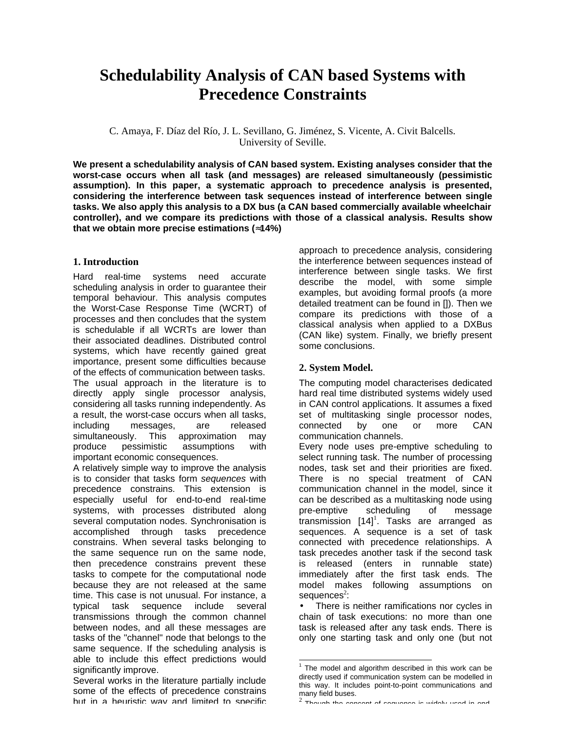# **Schedulability Analysis of CAN based Systems with Precedence Constraints**

C. Amaya, F. Díaz del Río, J. L. Sevillano, G. Jiménez, S. Vicente, A. Civit Balcells. University of Seville.

**We present a schedulability analysis of CAN based system. Existing analyses consider that the worst-case occurs when all task (and messages) are released simultaneously (pessimistic assumption). In this paper, a systematic approach to precedence analysis is presented, considering the interference between task sequences instead of interference between single tasks. We also apply this analysis to a DX bus (a CAN based commercially available wheelchair controller), and we compare its predictions with those of a classical analysis. Results show that we obtain more precise estimations ( 14%)**

# **1. Introduction**

Hard real-time systems need accurate scheduling analysis in order to guarantee their temporal behaviour. This analysis computes the Worst-Case Response Time (WCRT) of processes and then concludes that the system is schedulable if all WCRTs are lower than their associated deadlines. Distributed control systems, which have recently gained great importance, present some difficulties because of the effects of communication between tasks. The usual approach in the literature is to directly apply single processor analysis, considering all tasks running independently. As a result, the worst-case occurs when all tasks, including messages, are released simultaneously. This approximation may produce pessimistic assumptions with important economic consequences.

A relatively simple way to improve the analysis is to consider that tasks form *sequences* with precedence constrains. This extension is especially useful for end-to-end real-time systems, with processes distributed along several computation nodes. Synchronisation is accomplished through tasks precedence constrains. When several tasks belonging to the same sequence run on the same node, then precedence constrains prevent these tasks to compete for the computational node because they are not released at the same time. This case is not unusual. For instance, a typical task sequence include several transmissions through the common channel between nodes, and all these messages are tasks of the "channel" node that belongs to the same sequence. If the scheduling analysis is able to include this effect predictions would significantly improve.

Several works in the literature partially include some of the effects of precedence constrains but in a heuristic way and limited to specific

approach to precedence analysis, considering the interference between sequences instead of interference between single tasks. We first describe the model, with some simple examples, but avoiding formal proofs (a more detailed treatment can be found in []). Then we compare its predictions with those of a classical analysis when applied to a DXBus (CAN like) system. Finally, we briefly present some conclusions.

# **2. System Model.**

l

The computing model characterises dedicated hard real time distributed systems widely used in CAN control applications. It assumes a fixed set of multitasking single processor nodes, connected by one or more CAN communication channels.

Every node uses pre-emptive scheduling to select running task. The number of processing nodes, task set and their priorities are fixed. There is no special treatment of CAN communication channel in the model, since it can be described as a multitasking node using pre-emptive scheduling of message  $t$ ransmission  $[14]$ <sup>1</sup>. Tasks are arranged as sequences. A sequence is a set of task connected with precedence relationships. A task precedes another task if the second task is released (enters in runnable state) immediately after the first task ends. The model makes following assumptions on  $seq$ uence $s^2$ :

There is neither ramifications nor cycles in chain of task executions: no more than one task is released after any task ends. There is only one starting task and only one (but not

 $^2$  Though the concept of sequence is widely used in and-

<sup>1</sup> The model and algorithm described in this work can be directly used if communication system can be modelled in this way. It includes point-to-point communications and many field buses.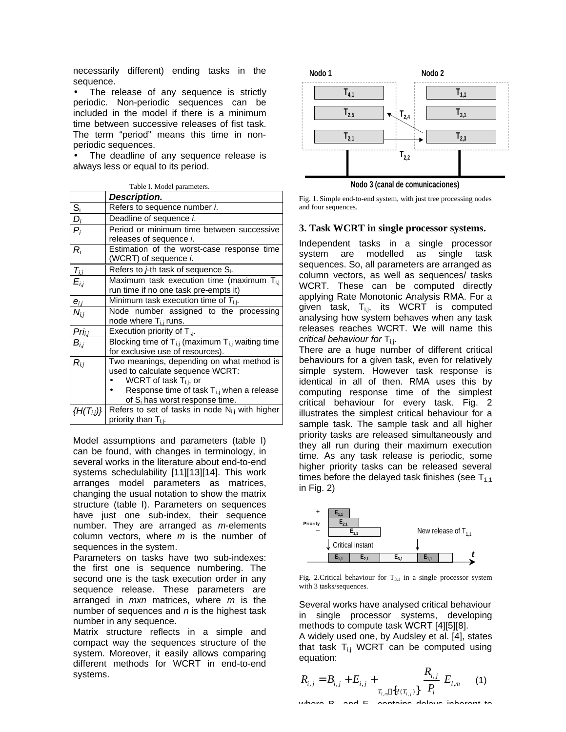necessarily different) ending tasks in the sequence.

The release of any sequence is strictly periodic. Non-periodic sequences can be included in the model if there is a minimum time between successive releases of fist task. The term "period" means this time in nonperiodic sequences.

The deadline of any sequence release is always less or equal to its period.

| Table I. Model parameters. |                                                                                                                                                                                                              |  |  |  |  |  |
|----------------------------|--------------------------------------------------------------------------------------------------------------------------------------------------------------------------------------------------------------|--|--|--|--|--|
|                            | Description.                                                                                                                                                                                                 |  |  |  |  |  |
|                            | Refers to sequence number i.                                                                                                                                                                                 |  |  |  |  |  |
|                            | Deadline of sequence <i>i</i> .                                                                                                                                                                              |  |  |  |  |  |
| $\frac{S_i}{D_i}$          | Period or minimum time between successive<br>releases of sequence <i>i</i> .                                                                                                                                 |  |  |  |  |  |
| $R_i$                      | Estimation of the worst-case response time<br>(WCRT) of sequence i.                                                                                                                                          |  |  |  |  |  |
|                            | Refers to <i>j</i> -th task of sequence S <sub>i</sub> .                                                                                                                                                     |  |  |  |  |  |
| $\frac{T_{i,j}}{E_{i,j}}$  | Maximum task execution time (maximum T <sub>ij</sub><br>run time if no one task pre-empts it)                                                                                                                |  |  |  |  |  |
| $e_{i,i}$                  | Minimum task execution time of $T_{i,j}$ .                                                                                                                                                                   |  |  |  |  |  |
| $N_{i,j}$                  | Node number assigned to the processing<br>node where T <sub>ij</sub> runs.                                                                                                                                   |  |  |  |  |  |
|                            | Execution priority of $T_{i,j}$ .                                                                                                                                                                            |  |  |  |  |  |
| $rac{Pri_{i,j}}{B_{i,j}}$  | Blocking time of $T_{i,j}$ (maximum $T_{i,j}$ waiting time<br>for exclusive use of resources).                                                                                                               |  |  |  |  |  |
| $R_{i,i}$                  | Two meanings, depending on what method is<br>used to calculate sequence WCRT:<br>WCRT of task $T_{i,j}$ , or<br>Response time of task $T_{i,j}$ when a release<br>of S <sub>i</sub> has worst response time. |  |  |  |  |  |
|                            | $\{H(T_{i,j})\}$ Refers to set of tasks in node N <sub>i,j</sub> with higher<br>priority than T <sub>i,i</sub> .                                                                                             |  |  |  |  |  |

Table I. Model parameters.

Model assumptions and parameters (table I) can be found, with changes in terminology, in several works in the literature about end-to-end systems schedulability [11][13][14]. This work arranges model parameters as matrices, changing the usual notation to show the matrix structure (table I). Parameters on sequences have just one sub-index, their sequence number. They are arranged as *m*-elements column vectors, where *m* is the number of sequences in the system.

Parameters on tasks have two sub-indexes: the first one is sequence numbering. The second one is the task execution order in any sequence release. These parameters are arranged in *mxn* matrices, where *m* is the number of sequences and *n* is the highest task number in any sequence.

Matrix structure reflects in a simple and compact way the sequences structure of the system. Moreover, it easily allows comparing different methods for WCRT in end-to-end systems.



Fig. 1. Simple end-to-end system, with just tree processing nodes and four sequences.

## **3. Task WCRT in single processor systems.**

Independent tasks in a single processor system are modelled as single task sequences. So, all parameters are arranged as column vectors, as well as sequences/ tasks WCRT. These can be computed directly applying Rate Monotonic Analysis RMA. For a given task,  $T_{i,j}$ , its WCRT is computed analysing how system behaves when any task releases reaches WCRT. We will name this critical behaviour for T<sub>i,j</sub>.

There are a huge number of different critical behaviours for a given task, even for relatively simple system. However task response is identical in all of then. RMA uses this by computing response time of the simplest critical behaviour for every task. Fig. 2 illustrates the simplest critical behaviour for a sample task. The sample task and all higher priority tasks are released simultaneously and they all run during their maximum execution time. As any task release is periodic, some higher priority tasks can be released several times before the delayed task finishes (see  $T_{1,1}$ ) in Fig. 2)



Fig. 2. Critical behaviour for  $T_{3,1}$  in a single processor system with 3 tasks/sequences.

Several works have analysed critical behaviour in single processor systems, developing methods to compute task WCRT [4][5][8]. A widely used one, by Audsley et al. [4], states

that task  $T_{i,j}$  WCRT can be computed using equation:

$$
R_{i,j} = B_{i,j} + E_{i,j} + \frac{R_{i,j}}{T_{l,m} \{H(T_{i,j})\}} \frac{R_{i,j}}{P_l} E_{l,m}
$$
 (1)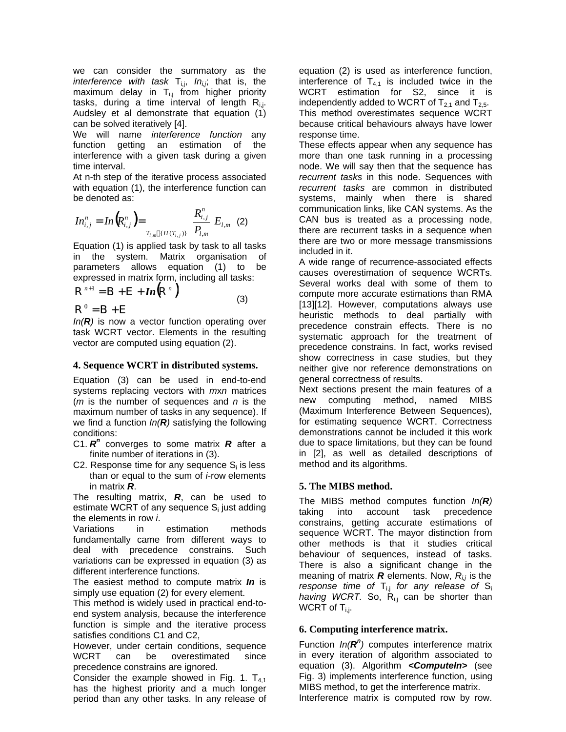we can consider the summatory as the *interference with task*  $T_{i,j}$ ,  $In_{i,j}$ , that is, the maximum delay in  $T_{i,j}$  from higher priority tasks, during a time interval of length  $R_{i,j}$ . Audsley et al demonstrate that equation (1) can be solved iteratively [4].

We will name *interference function* any function getting an estimation of the interference with a given task during a given time interval.

At n-th step of the iterative process associated with equation (1), the interference function can be denoted as:

$$
In_{i,j}^n = In\big(R_{i,j}^n\big) = \frac{R_{i,j}^n}{T_{i,m} \{H(T_{i,j})\}} \frac{R_{i,j}^n}{P_{i,m}} E_{i,m}
$$
 (2)

Equation (1) is applied task by task to all tasks in the system. Matrix organisation of parameters allows equation (1) to be expressed in matrix form, including all tasks:

$$
\mathbf{R}^{n+1} = \mathbf{B} + \mathbf{E} + In(\mathbf{R}^n)
$$
\n(3)

 ${\bf R}^0 = {\bf B} + {\bf E}$ 

*In(R)* is now a vector function operating over task WCRT vector. Elements in the resulting vector are computed using equation (2).

# **4. Sequence WCRT in distributed systems.**

Equation (3) can be used in end-to-end systems replacing vectors with *m*x*n* matrices (*m* is the number of sequences and *n* is the maximum number of tasks in any sequence). If we find a function *In(R)* satisfying the following conditions:

- C1.  $R^n$  converges to some matrix  $R$  after a finite number of iterations in (3).
- C2. Response time for any sequence  $S_i$  is less than or equal to the sum of *i*-row elements in matrix *R*.

The resulting matrix, *R*, can be used to estimate WCRT of any sequence  $S_i$  just adding the elements in row *i*.

Variations in estimation methods fundamentally came from different ways to deal with precedence constrains. Such variations can be expressed in equation (3) as different interference functions.

The easiest method to compute matrix *In* is simply use equation (2) for every element.

This method is widely used in practical end-toend system analysis, because the interference function is simple and the iterative process satisfies conditions C1 and C2,

However, under certain conditions, sequence WCRT can be overestimated since precedence constrains are ignored.

Consider the example showed in Fig. 1.  $T_{41}$ has the highest priority and a much longer period than any other tasks. In any release of

equation (2) is used as interference function, interference of  $T_{4,1}$  is included twice in the WCRT estimation for S2, since it is independently added to WCRT of  $T_{2,1}$  and  $T_{2,5}$ . This method overestimates sequence WCRT because critical behaviours always have lower response time.

These effects appear when any sequence has more than one task running in a processing node. We will say then that the sequence has *recurrent tasks* in this node. Sequences with *recurrent tasks* are common in distributed systems, mainly when there is shared communication links, like CAN systems. As the CAN bus is treated as a processing node, there are recurrent tasks in a sequence when there are two or more message transmissions included in it.

A wide range of recurrence-associated effects causes overestimation of sequence WCRTs. Several works deal with some of them to compute more accurate estimations than RMA [13][12]. However, computations always use heuristic methods to deal partially with precedence constrain effects. There is no systematic approach for the treatment of precedence constrains. In fact, works revised show correctness in case studies, but they neither give nor reference demonstrations on general correctness of results.

Next sections present the main features of a new computing method, named MIBS (Maximum Interference Between Sequences), for estimating sequence WCRT. Correctness demonstrations cannot be included it this work due to space limitations, but they can be found in [2], as well as detailed descriptions of method and its algorithms.

# **5. The MIBS method.**

The MIBS method computes function *In(R)* taking into account task precedence constrains, getting accurate estimations of sequence WCRT. The mayor distinction from other methods is that it studies critical behaviour of sequences, instead of tasks. There is also a significant change in the meaning of matrix  $\bf{R}$  elements. Now,  $R_{i,j}$  is the *response time of*  $T_{i,j}$  for any release of  $S_i$ *having WCRT.* So, R<sub>ij</sub> can be shorter than WCRT of  $T_{i,j}$ .

# **6. Computing interference matrix.**

Function  $In(R^n)$  computes interference matrix in every iteration of algorithm associated to equation (3). Algorithm *<ComputeIn>* (see Fig. 3) implements interference function, using MIBS method, to get the interference matrix. Interference matrix is computed row by row.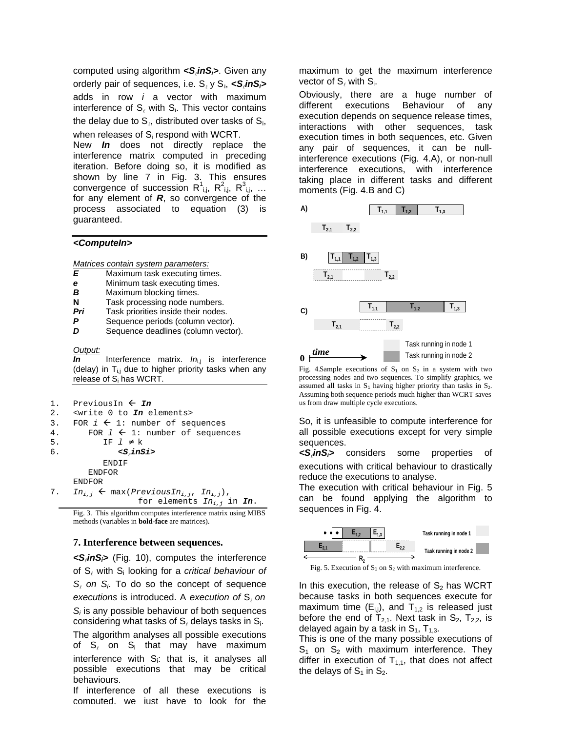computed using algorithm *<S*<sup>l</sup> *inSi>*. Given any orderly pair of sequences, i.e. S<sub>ℓ</sub> y S<sub>i</sub>, **<S**<sub>ℓ</sub>**inS**<sub>i</sub>> adds in row *i* a vector with maximum interference of  $S_{\ell}$  with  $S_{i}$ . This vector contains the delay due to  $\mathbf{S}_{\ell}$ , distributed over tasks of  $\mathbf{S}_{\mathsf{i}},$ 

when releases of S<sub>i</sub> respond with WCRT. New *In* does not directly replace the interference matrix computed in preceding iteration. Before doing so, it is modified as shown by line 7 in Fig. 3. This ensures convergence of succession  $R^1_{i,j}$ ,  $R^2_{i,j}$ ,  $R^3_{i,j}$ , ... for any element of *R*, so convergence of the process associated to equation (3) is guaranteed.

### *<ComputeIn>*

*Matrices contain system parameters:*

- *E* Maximum task executing times.
- *e* Minimum task executing times.
- **B** Maximum blocking times.
- **N** Task processing node numbers.
- *Pri* Task priorities inside their nodes.
- **P** Sequence periods (column vector).
- **D** Sequence deadlines (column vector).

#### *Output:*

*In* Interference matrix. *In*<sub>i,j</sub> is interference (delay) in  $T_{i,j}$  due to higher priority tasks when any release of S<sub>i</sub> has WCRT.

| PreviousIn |  |
|------------|--|
|------------|--|

2. <write 0 to *In* elements>

```
3. FOR i \leftarrow 1: number of sequences
```

| 4. | FOR $1 \leftarrow 1$ : number of sequences                                                      |
|----|-------------------------------------------------------------------------------------------------|
| 5. | IF 1                                                                                            |
| 6. | $<$ S,inSi>                                                                                     |
|    | ENDIF                                                                                           |
|    | <b>ENDFOR</b>                                                                                   |
|    | <b>ENDFOR</b>                                                                                   |
|    | 7. $In_{i,j} \leftarrow \max(PreviousIn_{i,j}, In_{i,j})$ ,<br>for elements $In_{i,j}$ in $In.$ |

Fig. 3. This algorithm computes interference matrix using MIBS methods (variables in **bold-face** are matrices).

#### **7. Interference between sequences.**

*<S*<sup>l</sup> *inSi>* (Fig. 10), computes the interference of S<sub>*i*</sub> with S<sub>i</sub> looking for a *critical behaviour of S*l  *on S<sup>i</sup>* . To do so the concept of sequence *executions* is introduced. A *execution of*  $S_{\ell}$  *on Si* is any possible behaviour of both sequences considering what tasks of  $\mathsf{S}_\ell$  delays tasks in  $\mathsf{S}_\mathsf{i}$ . The algorithm analyses all possible executions

of  $S_{\ell}$  on  $S_i$  that may have maximum interference with S<sub>i</sub>: that is, it analyses all possible executions that may be critical behaviours.

If interference of all these executions is computed, we just have to look for the maximum to get the maximum interference vector of  $\mathsf{S}_{\ell}$  with  $\mathsf{S}_{\mathsf{i}}$ .

Obviously, there are a huge number of different executions Behaviour of any execution depends on sequence release times, interactions with other sequences, task execution times in both sequences, etc. Given any pair of sequences, it can be nullinterference executions (Fig. 4.A), or non-null interference executions, with interference taking place in different tasks and different moments (Fig. 4.B and C)



Fig. 4.Sample executions of  $S_1$  on  $S_2$  in a system with two processing nodes and two sequences. To simplify graphics, we assumed all tasks in  $S_1$  having higher priority than tasks in  $S_2$ . Assuming both sequence periods much higher than WCRT saves us from draw multiple cycle executions.

So, it is unfeasible to compute interference for all possible executions except for very simple sequences.

*<S*<sup>l</sup> *inSi>* considers some properties of executions with critical behaviour to drastically reduce the executions to analyse.

The execution with critical behaviour in Fig. 5 can be found applying the algorithm to sequences in Fig. 4.



Fig. 5. Execution of  $S_1$  on  $S_2$  with maximum interference.

In this execution, the release of  $S_2$  has WCRT because tasks in both sequences execute for maximum time  $(E_{i,j})$ , and  $T_{1,2}$  is released just before the end of  $T_{2,1}$ . Next task in  $S_2$ ,  $T_{2,2}$ , is delayed again by a task in  $S_1$ ,  $T_{1,3}$ .

This is one of the many possible executions of  $S_1$  on  $S_2$  with maximum interference. They differ in execution of  $T_{1,1}$ , that does not affect the delays of  $S_1$  in  $S_2$ .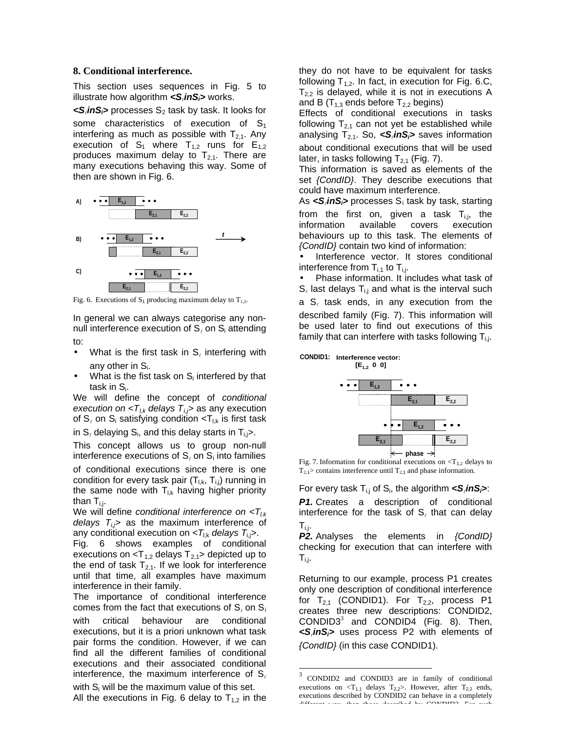## **8. Conditional interference.**

This section uses sequences in Fig. 5 to illustrate how algorithm *<S*<sup>l</sup> *inSi>* works.

*<S*<sup>l</sup> *inSi>* processes S2 task by task. It looks for some characteristics of execution of  $S_1$ interfering as much as possible with  $T_{2,1}$ . Any execution of  $S_1$  where  $T_{1,2}$  runs for  $E_{1,2}$ produces maximum delay to  $T_{2,1}$ . There are many executions behaving this way. Some of then are shown in Fig. 6.



Fig. 6. Executions of  $S_1$  producing maximum delay to  $T_{1,2}$ .

In general we can always categorise any nonnull interference execution of  $\mathsf{S}_\ell$  on  $\mathsf{S}_\mathsf{i}$  attending to:

- 
- What is the first task in  $S_{\ell}$  interfering with any other in  $S_i$ .
- What is the fist task on  $S_i$  interfered by that task in  $S_i$ .

We will define the concept of *conditional execution on*  $< T_{l,k}$  *delays*  $T_{l,j}$  as any execution of S $_{\ell}$  on S<sub>i</sub> satisfying condition <T $_{\rm l,k}$  is first task

in S $_{\ell}$  delaying S<sub>i</sub>, and this delay starts in T<sub>i,j</sub>>.

This concept allows us to group non-null interference executions of  $S_{\ell}$  on  $S_i$  into families

of conditional executions since there is one condition for every task pair  $(T_{\text{Lk}}, T_{\text{Li}})$  running in the same node with  $T_{l,k}$  having higher priority than  $T_{i,j}$ .

We will define *conditional interference on <Tl,k delays Ti,j>* as the maximum interference of any conditional execution on *<T*l,k *delays T*i,j*>*.

Fig. 6 shows examples of conditional executions on  $delays  $T_{2,1}$  depicted up to$ the end of task  $T_{2,1}$ . If we look for interference until that time, all examples have maximum interference in their family.

The importance of conditional interference comes from the fact that executions of  $\mathbf{S}_{\ell}$  on  $\mathbf{S}_{\mathbf{i}}$ with critical behaviour are conditional executions, but it is a priori unknown what task pair forms the condition. However, if we can find all the different families of conditional executions and their associated conditional interference, the maximum interference of  $S_{\ell}$ 

with  $S_i$  will be the maximum value of this set. All the executions in Fig. 6 delay to  $T_{1,2}$  in the

they do not have to be equivalent for tasks following  $T_{1,2}$ . In fact, in execution for Fig. 6.C,  $T_{2,2}$  is delayed, while it is not in executions A and B ( $T_{1,3}$  ends before  $T_{2,2}$  begins)

Effects of conditional executions in tasks following  $T_{2,1}$  can not yet be established while analysing T2,1. So, *<S*<sup>l</sup> *inSi>* saves information about conditional executions that will be used later, in tasks following  $T_{2,1}$  (Fig. 7).

This information is saved as elements of the set *{CondID}*. They describe executions that could have maximum interference.

As *<S*<sup>l</sup> *inSi>* processes S<sup>i</sup> task by task, starting

from the first on, given a task  $T_{i,j}$ , the information available covers execution information available covers behaviours up to this task. The elements of *{CondID}* contain two kind of information:

Interference vector. It stores conditional interference from  $T_{i,1}$  to  $T_{i,j}$ .

• Phase information. It includes what task of  $\mathsf{S}_\ell$  last delays  $\mathsf{T}_{\mathsf{i},\mathsf{j}}$  and what is the interval such

a  $\mathsf{S}_\ell$  task ends, in any execution from the described family (Fig. 7). This information will be used later to find out executions of this family that can interfere with tasks following  $T_{ij}$ .



Fig. 7. Information for conditional executions on  $\langle T_{1,2}$  delays to  $T_{2,1}$  contains interference until  $T_{2,1}$  and phase information.

For every task Ti,j of S<sup>i</sup> , the algorithm *<S*<sup>l</sup> *inSi>*:

**P1.** Creates a description of conditional interference for the task of  $\mathsf{S}_\ell$  that can delay Ti,j.

*P2.* Analyses the elements in *{CondID}* checking for execution that can interfere with  $T_{i,j}$ .

Returning to our example, process P1 creates only one description of conditional interference for  $T_{2,1}$  (CONDID1). For  $T_{2,2}$ , process P1 creates three new descriptions: CONDID2, CONDID3 $3$  and CONDID4 (Fig. 8). Then, *<S*<sup>l</sup> *inSi>* uses process P2 with elements of *{CondID}* (in this case CONDID1).

l

<sup>3</sup> CONDID2 and CONDID3 are in family of conditional executions on  $\langle T_{1,1}$  delays  $T_{2,2}$ . However, after  $T_{2,2}$  ends, executions described by CONDID2 can behave in a completely different way, than those described by CONDID3. For such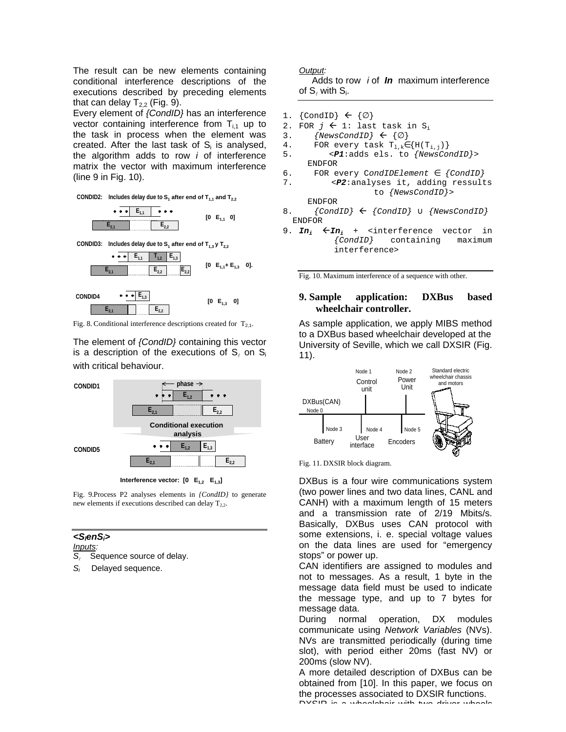The result can be new elements containing conditional interference descriptions of the executions described by preceding elements that can delay  $T_{2,2}$  (Fig. 9).

Every element of *{CondID}* has an interference vector containing interference from  $T_{i,1}$  up to the task in process when the element was created. After the last task of  $S_i$  is analysed, the algorithm adds to row *i* of interference matrix the vector with maximum interference (line 9 in Fig. 10).

**CONDID2:** Includes delay due to  $S_1$  after end of  $T_{1,1}$  and  $T_{2,2}$ 

**E2,2 E1,1 E2,2 E2,1 [0 E1,1 0]**

**CONDID3:** Includes delay due to  $S_1$  after end of  $T_{1,3}$  **y**  $T_{2,2}$ 





Fig. 8. Conditional interference descriptions created for  $T_{2,1}$ .

The element of *{CondID}* containing this vector is a description of the executions of  $S_{\ell}$  on  $S_{i}$ with critical behaviour.



**Interference vector:**  $[0 \t E_{1,2} E_{1,3}]$ 

Fig. 9.Process P2 analyses elements in *{CondID}* to generate new elements if executions described can delay  $T_{2,2}$ .

## *<SlenSi>*

*Inputs:*

*S*l Sequence source of delay.

*Si* Delayed sequence.

## *Output:*

 Adds to row *i* of *In* maximum interference of  $\mathsf{S}_\ell$  with  $\mathsf{S}_\mathsf{i}.$ 

- 1. {CondID}  $\leftarrow \{\}$
- 2. FOR  $j \leftarrow 1$ : last task in S<sub>i</sub>
- 3. *{NewsCondID}*  $\leftarrow$  { }
- 4. FOR every task  $T_{1,k}$  {H( $T_{i,j}$ )}<br>5.  $\leq P1$ :adds els. to *{NewsCol}*
- 5. <*P1*:adds els. to *{NewsCondID}*> ENDFOR
- 6. FOR every C*ondIDElement {CondID}*
- 7. <*P2*:analyses it, adding ressults to *{NewsCondID}*> ENDFOR
- 8.  ${CondID} \leftarrow {CondID}$  *{NewsCondID}* ENDFOR
- 9.  $In_i$   $\leftarrow In_i$  +  $\leftarrow$  interference vector in  $\{Condition\}$  containing maximum  $containing$ interference>

Fig. 10. Maximum interference of a sequence with other.

## **9. Sample application: DXBus based wheelchair controller.**

As sample application, we apply MIBS method to a DXBus based wheelchair developed at the University of Seville, which we call DXSIR (Fig. 11).



Fig. 11. DXSIR block diagram.

DXBus is a four wire communications system (two power lines and two data lines, CANL and CANH) with a maximum length of 15 meters and a transmission rate of 2/19 Mbits/s. Basically, DXBus uses CAN protocol with some extensions, i. e. special voltage values on the data lines are used for "emergency stops" or power up.

CAN identifiers are assigned to modules and not to messages. As a result, 1 byte in the message data field must be used to indicate the message type, and up to 7 bytes for message data.

During normal operation, DX modules communicate using *Network Variables* (NVs). NVs are transmitted periodically (during time slot), with period either 20ms (fast NV) or 200ms (slow NV).

A more detailed description of DXBus can be obtained from [10]. In this paper, we focus on the processes associated to DXSIR functions.  $\overline{\mathsf{D}}\mathsf{V}\hat{\mathsf{C}}\mathsf{D}$  is a wheelchair with two driver wheels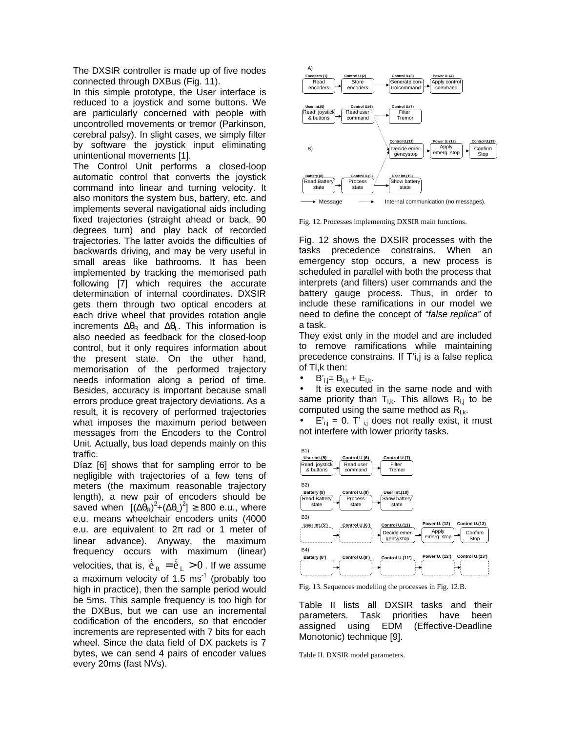The DXSIR controller is made up of five nodes connected through DXBus (Fig. 11).

In this simple prototype, the User interface is reduced to a joystick and some buttons. We are particularly concerned with people with uncontrolled movements or tremor (Parkinson, cerebral palsy). In slight cases, we simply filter by software the joystick input eliminating unintentional movements [1].

The Control Unit performs a closed-loop automatic control that converts the joystick command into linear and turning velocity. It also monitors the system bus, battery, etc. and implements several navigational aids including fixed trajectories (straight ahead or back, 90 degrees turn) and play back of recorded trajectories. The latter avoids the difficulties of backwards driving, and may be very useful in small areas like bathrooms. It has been implemented by tracking the memorised path following [7] which requires the accurate determination of internal coordinates. DXSIR gets them through two optical encoders at each drive wheel that provides rotation angle increments  $R$  and  $R$ . This information is also needed as feedback for the closed-loop control, but it only requires information about the present state. On the other hand, memorisation of the performed trajectory needs information along a period of time. Besides, accuracy is important because small errors produce great trajectory deviations. As a result, it is recovery of performed trajectories what imposes the maximum period between messages from the Encoders to the Control Unit. Actually, bus load depends mainly on this traffic.

Díaz [6] shows that for sampling error to be negligible with trajectories of a few tens of meters (the maximum reasonable trajectory length), a new pair of encoders should be saved when  $[(\n\rightharpoonup_R)^2 + (\n\rightharpoonup_L)^2]$  800 e.u., where e.u. means wheelchair encoders units (4000 e.u. are equivalent to 2 rad or 1 meter of linear advance). Anyway, the maximum frequency occurs with maximum (linear) velocities, that is,  $\dot{\tilde{e}}_R = \dot{\tilde{e}}_L > 0$  . If we assume a maximum velocity of 1.5  $\text{ms}^{-1}$  (probably too high in practice), then the sample period would be 5ms. This sample frequency is too high for the DXBus, but we can use an incremental codification of the encoders, so that encoder increments are represented with 7 bits for each wheel. Since the data field of DX packets is 7 bytes, we can send 4 pairs of encoder values every 20ms (fast NVs).



Fig. 12. Processes implementing DXSIR main functions.

Fig. 12 shows the DXSIR processes with the tasks precedence constrains. When an emergency stop occurs, a new process is scheduled in parallel with both the process that interprets (and filters) user commands and the battery gauge process. Thus, in order to include these ramifications in our model we need to define the concept of *"false replica"* of a task.

They exist only in the model and are included to remove ramifications while maintaining precedence constrains. If T'i,j is a false replica of Tl,k then:

 $B'_{ii} = B_{1k} + E_{1k}$ .

It is executed in the same node and with same priority than  $T_{l,k}$ . This allows  $R_{l,i}$  to be computed using the same method as  $R_{l,k}$ .

 $E'_{i,j} = 0$ . T'<sub>ij</sub> does not really exist, it must not interfere with lower priority tasks.



Fig. 13. Sequences modelling the processes in Fig. 12.B.

Table II lists all DXSIR tasks and their parameters. Task priorities have been assigned using EDM (Effective-Deadline Monotonic) technique [9].

Table II. DXSIR model parameters.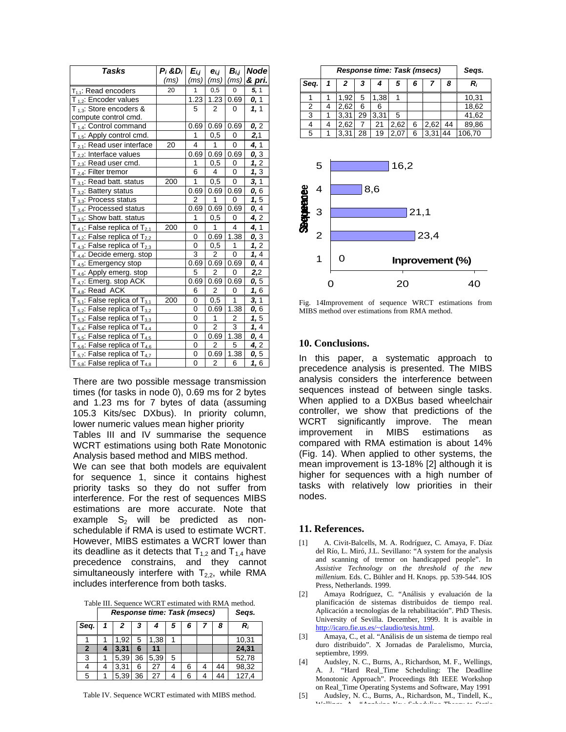| Tasks                                  | $P_i$ &D <sub>i</sub> | $E_{i,j}$      | $e_{i,i}$      | $B_{i,j}$               | <b>Node</b> |
|----------------------------------------|-----------------------|----------------|----------------|-------------------------|-------------|
|                                        | (m <sub>S</sub> )     | (ms)           | (ms)           | (m <sub>S</sub> )       | & pri.      |
| $T_{1,1}$ : Read encoders              | 20                    | $\mathbf{1}$   | 0,5            | 0                       | 5, 1        |
| $T_{1,2}$ : Encoder values             |                       | 1.23           | 1.23           | 0.69                    | 0, 1        |
| $T_{13}$ : Store encoders &            |                       | 5              | 2              | 0                       | 1, 1        |
| compute control cmd.                   |                       |                |                |                         |             |
| $T_{1,4}$ : Control command            |                       | 0.69           | 0.69           | 0.69                    | 0, 2        |
| $T_{1,5}$ : Apply control cmd.         |                       | 1              | 0,5            | 0                       | 2,1         |
| $T_{2,1}$ : Read user interface        | 20                    | 4              | 1              | 0                       | 4, 1        |
| $T_{2,2}$ : Interface values           |                       | 0.69           | 0.69           | 0.69                    | 0, 3        |
| $T_{2,3}$ : Read user cmd.             |                       | 1              | 0,5            | 0                       | 1, 2        |
| $T_{2,4}$ : Filter tremor              |                       | 6              | 4              | 0                       | 1, 3        |
| $T_{3,1}$ : Read batt. status          | 200                   | 1              | 0,5            | 0                       | 3, 1        |
| $T_{3,2}$ : Battery status             |                       | 0.69           | 0.69           | 0.69                    | 0,6         |
| $T_{3,3}$ : Process status             |                       | 2              | 1              | 0                       | 1,5         |
| $T_{3,4}$ : Processed status           |                       | 0.69           | 0.69           | 0.69                    | 0, 4        |
| $T_{3,5}$ : Show batt. status          |                       | 1              | 0,5            | 0                       | 4,2         |
| $T_{4,1}$ : False replica of $T_{2,1}$ | 200                   | 0              | 1              | 4                       | 4, 1        |
| $T_{4,2}$ : False replica of $T_{2,2}$ |                       | 0              | 0.69           | 1.38                    | 0, 3        |
| $T_{4,3}$ : False replica of $T_{2,3}$ |                       | 0              | 0,5            | 1                       | 1, 2        |
| $T_{4,4}$ : Decide emerg. stop         |                       | 3              | 2              | $\overline{0}$          | 1, 4        |
| $T_{4.5}$ : Emergency stop             |                       | 0.69           | 0.69           | 0.69                    | 0, 4        |
| $T_{4,6}$ : Apply emerg. stop          |                       | 5              | $\overline{2}$ | 0                       | 2,2         |
| T <sub>4,7</sub> : Emerg. stop ACK     |                       | 0.69           | 0.69           | 0.69                    | 0, 5        |
| $T_{4,8}$ : Read ACK                   |                       | 6              | $\overline{2}$ | 0                       | 1, 6        |
| $T_{5,1}$ : False replica of $T_{3,1}$ | 200                   | 0              | 0,5            | 1                       | 3, 1        |
| $T_{5,2}$ : False replica of $T_{3,2}$ |                       | 0              | 0.69           | 1.38                    | 0,6         |
| $T_{5,3}$ : False replica of $T_{3,3}$ |                       | 0              | 1              | $\overline{\mathbf{c}}$ | 1,5         |
| $T_{5,4}$ : False replica of $T_{4,4}$ |                       | 0              | $\overline{2}$ | 3                       | 1, 4        |
| $T_{5,5}$ : False replica of $T_{4,5}$ |                       | 0              | 0.69           | 1.38                    | 0, 4        |
| $T_{5,6}$ : False replica of $T_{4,6}$ |                       | 0              | 2              | 5                       | 4, 2        |
| $T_{5.7}$ : False replica of $T_{4.7}$ |                       | 0              | 0.69           | 1.38                    | 0, 5        |
| $T_{5.8}$ : False replica of $T_{4.8}$ |                       | $\overline{0}$ | $\overline{2}$ | 6                       | 1,6         |

There are two possible message transmission times (for tasks in node 0), 0.69 ms for 2 bytes and 1.23 ms for 7 bytes of data (assuming 105.3 Kits/sec DXbus). In priority column, lower numeric values mean higher priority

Tables III and IV summarise the sequence WCRT estimations using both Rate Monotonic Analysis based method and MIBS method.

We can see that both models are equivalent for sequence 1, since it contains highest priority tasks so they do not suffer from interference. For the rest of sequences MIBS estimations are more accurate. Note that example  $S_2$  will be predicted as nonschedulable if RMA is used to estimate WCRT. However, MIBS estimates a WCRT lower than its deadline as it detects that  $T_{1,2}$  and  $T_{1,4}$  have precedence constrains, and they cannot simultaneously interfere with  $T_{2.2}$ , while RMA includes interference from both tasks.

Table III. Sequence WCRT estimated with RMA method. *Response time: Task (msecs) Seqs.*

|              | Response unie. Task (msecs) | uuya. |    |      |   |   |   |    |       |
|--------------|-----------------------------|-------|----|------|---|---|---|----|-------|
| Seq.         |                             | 2     | З  |      | 5 | 6 |   | 8  | R,    |
|              |                             | 1,92  | 5  | 1,38 |   |   |   |    | 10,31 |
| $\mathbf{2}$ |                             | 3,31  | 6  | 11   |   |   |   |    | 24,31 |
| 3            |                             | 5,39  | 36 | 5,39 | 5 |   |   |    | 52,78 |
|              |                             | 3,31  | 6  | 27   | 4 | 6 |   | 44 | 98,32 |
| 5            |                             | 5,39  | 36 | 27   |   | 6 | 4 | 44 | 127,4 |

| Table IV. Sequence WCRT estimated with MIBS method. |  |  |  |
|-----------------------------------------------------|--|--|--|
|-----------------------------------------------------|--|--|--|

|      | <b>Response time: Task (msecs)</b> |      |    |      |      |   |      |    | Segs.  |
|------|------------------------------------|------|----|------|------|---|------|----|--------|
| Seq. |                                    | 2    | 3  |      | 5    | 6 |      | 8  | R,     |
|      |                                    | .92  | 5  | 1,38 |      |   |      |    | 10,31  |
| 2    |                                    | 2,62 | 6  | 6    |      |   |      |    | 18,62  |
| 3    |                                    | 3.31 | 29 | 3.31 | 5    |   |      |    | 41,62  |
| 4    |                                    | 2,62 |    | 21   | 2,62 | 6 | 2,62 | 44 | 89,86  |
| 5    |                                    | 3.31 | 28 | 19   | 2.07 | 6 | 3.31 | 44 | 106,70 |



Fig. 14Improvement of sequence WRCT estimations from MIBS method over estimations from RMA method.

## **10. Conclusions.**

In this paper, a systematic approach to precedence analysis is presented. The MIBS analysis considers the interference between sequences instead of between single tasks. When applied to a DXBus based wheelchair controller, we show that predictions of the WCRT significantly improve. The mean improvement in MIBS estimations as compared with RMA estimation is about 14% (Fig. 14). When applied to other systems, the mean improvement is 13-18% [2] although it is higher for sequences with a high number of tasks with relatively low priorities in their nodes.

#### **11. References.**

- [1] A. Civit-Balcells, M. A. Rodríguez, C. Amaya, F. Díaz del Río, L. Miró, J.L. Sevillano: "A system for the analysis and scanning of tremor on handicapped people". In *Assistive Technology on the threshold of the new millenium.* Eds. C**.** Bühler and H. Knops. pp. 539-544. IOS Press, Netherlands. 1999.
- [2] Amaya Rodríguez, C. "Análisis y evaluación de la planificación de sistemas distribuidos de tiempo real. Aplicación a tecnologías de la rehabilitación". PhD Thesis. University of Sevilla. December, 1999. It is avaible in http://icaro.fie.us.es/~claudio/tesis.html.
- [3] Amaya, C., et al. "Análisis de un sistema de tiempo real duro distribuido". X Jornadas de Paralelismo, Murcia, septiembre, 1999.
- [4] Audsley, N. C., Burns, A., Richardson, M. F., Wellings, A. J. "Hard Real\_Time Scheduling: The Deadline Monotonic Approach". Proceedings 8th IEEE Workshop on Real\_Time Operating Systems and Software, May 1991
- [5] Audsley, N. C., Burns, A., Richardson, M., Tindell, K., Wellings, A.. *"Applying New Scheduling Theory to Static*